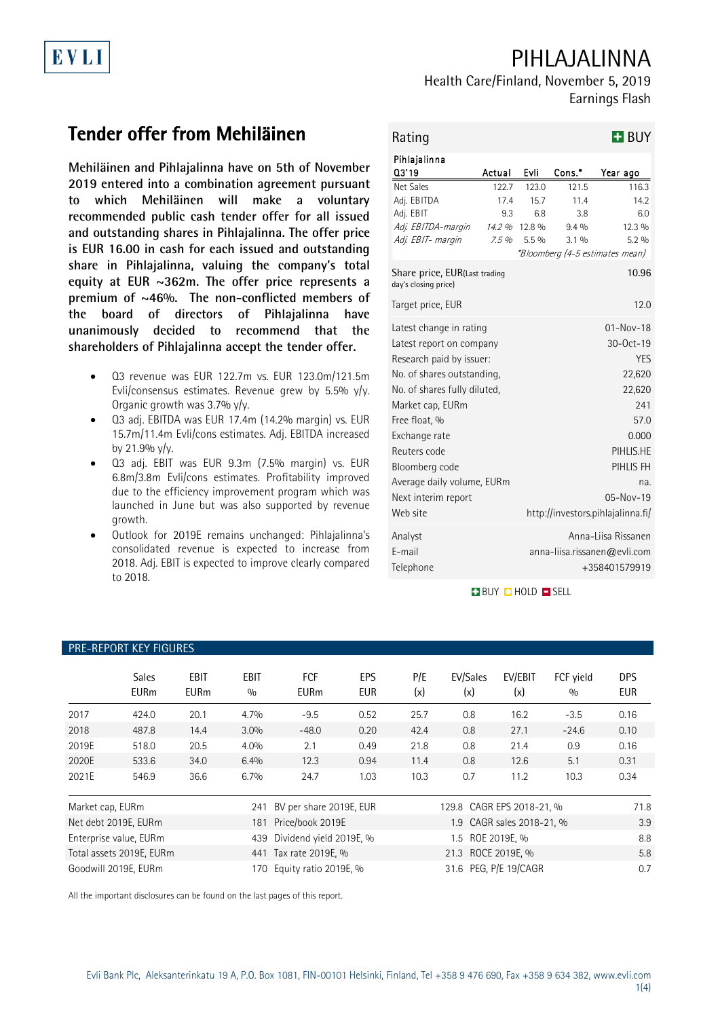# PIHLAJALINNA

## Health Care/Finland, November 5, 2019 Earnings Flash

# **Tender offer from Mehiläinen**

**Mehiläinen and Pihlajalinna have on 5th of November 2019 entered into a combination agreement pursuant to which Mehiläinen will make a voluntary recommended public cash tender offer for all issued and outstanding shares in Pihlajalinna. The offer price is EUR 16.00 in cash for each issued and outstanding share in Pihlajalinna, valuing the company's total equity at EUR ~362m. The offer price represents a premium of ~46%. The non-conflicted members of the board of directors of Pihlajalinna have unanimously decided to recommend that the shareholders of Pihlajalinna accept the tender offer.**

- Q3 revenue was EUR 122.7m vs. EUR 123.0m/121.5m Evli/consensus estimates. Revenue grew by 5.5% y/y. Organic growth was 3.7% y/y.
- Q3 adj. EBITDA was EUR 17.4m (14.2% margin) vs. EUR 15.7m/11.4m Evli/cons estimates. Adj. EBITDA increased by 21.9% y/y.
- Q3 adj. EBIT was EUR 9.3m (7.5% margin) vs. EUR 6.8m/3.8m Evli/cons estimates. Profitability improved due to the efficiency improvement program which was launched in June but was also supported by revenue growth.
- Outlook for 2019E remains unchanged: Pihlajalinna's consolidated revenue is expected to increase from 2018. Adj. EBIT is expected to improve clearly compared to 2018.

| Rating                                                |                 |                                                                      |                 | <b>H</b> BUY                      |  |  |
|-------------------------------------------------------|-----------------|----------------------------------------------------------------------|-----------------|-----------------------------------|--|--|
| Pihlajalinna<br>03'19                                 | Actual          | Evli                                                                 | Cons.*          | Year ago                          |  |  |
| Net Sales                                             | 122.7           | 123.0                                                                | 121.5           | 116.3                             |  |  |
| Adj. EBITDA                                           | 17.4            | 15.7                                                                 | 11.4            | 14.2                              |  |  |
| Adj. EBIT                                             | 9.3             | 6.8                                                                  | 3.8             | 6.0                               |  |  |
| Adj. EBITDA-margin                                    | 14.2 %<br>7.5%  | 12.8 %<br>5.5%                                                       | $9.4\%$<br>3.1% | 12.3 %<br>$5.2\%$                 |  |  |
| Adj. EBIT- margin                                     |                 |                                                                      |                 | *Bloomberg (4-5 estimates mean)   |  |  |
| Share price, EUR(Last trading<br>day's closing price) |                 |                                                                      |                 | 10.96                             |  |  |
| Target price, EUR                                     |                 |                                                                      |                 | 12.0                              |  |  |
| Latest change in rating                               | $01 - Nov - 18$ |                                                                      |                 |                                   |  |  |
| Latest report on company                              | $30-0ct-19$     |                                                                      |                 |                                   |  |  |
| Research paid by issuer:                              | <b>YES</b>      |                                                                      |                 |                                   |  |  |
| No. of shares outstanding,                            | 22,620          |                                                                      |                 |                                   |  |  |
| No. of shares fully diluted.                          | 22,620          |                                                                      |                 |                                   |  |  |
| Market cap, EURm                                      |                 |                                                                      |                 | 241                               |  |  |
| Free float, %                                         |                 |                                                                      |                 | 57.0                              |  |  |
| Exchange rate                                         |                 |                                                                      |                 | 0.000                             |  |  |
| Reuters code                                          |                 |                                                                      |                 | PIHLIS.HE                         |  |  |
| Bloomberg code                                        |                 |                                                                      |                 | PIHLIS FH                         |  |  |
| Average daily volume, EURm                            |                 |                                                                      |                 | na.                               |  |  |
| Next interim report                                   |                 |                                                                      |                 | 05-Nov-19                         |  |  |
| Web site                                              |                 |                                                                      |                 | http://investors.pihlajalinna.fi/ |  |  |
| Analyst<br>E-mail<br>Telephone                        |                 | Anna-Liisa Rissanen<br>anna-liisa.rissanen@evli.com<br>+358401579919 |                 |                                   |  |  |

**BUY CHOLD ESELL** 

| <b>PRE-REPORT KEY FIGURES</b> |                             |                            |             |                                                |                   |            |                    |                           |                  |                          |  |  |  |
|-------------------------------|-----------------------------|----------------------------|-------------|------------------------------------------------|-------------------|------------|--------------------|---------------------------|------------------|--------------------------|--|--|--|
|                               | <b>Sales</b><br><b>EURm</b> | <b>EBIT</b><br><b>EURm</b> | EBIT<br>0/0 | <b>FCF</b><br><b>EURm</b>                      | EPS<br><b>EUR</b> | P/E<br>(x) | EV/Sales<br>(x)    | EV/EBIT<br>(x)            | FCF yield<br>0/0 | <b>DPS</b><br><b>EUR</b> |  |  |  |
| 2017                          | 424.0                       | 20.1                       | 4.7%        | $-9.5$                                         | 0.52              | 25.7       | 0.8                | 16.2                      | $-3.5$           | 0.16                     |  |  |  |
| 2018                          | 487.8                       | 14.4                       | 3.0%        | $-48.0$                                        | 0.20              | 42.4       | 0.8                | 27.1                      | $-24.6$          | 0.10                     |  |  |  |
| 2019E                         | 518.0                       | 20.5                       | 4.0%        | 2.1                                            | 0.49              | 21.8       | 0.8                | 21.4                      | 0.9              | 0.16                     |  |  |  |
| 2020E                         | 533.6                       | 34.0                       | 6.4%        | 12.3                                           | 0.94              | 11.4       | 0.8                | 12.6                      | 5.1              | 0.31                     |  |  |  |
| 2021E                         | 546.9                       | 36.6                       | 6.7%        | 24.7                                           | 1.03              | 10.3       | 0.7                | 11.2                      | 10.3             | 0.34                     |  |  |  |
| Market cap, EURm<br>241       |                             | BV per share 2019E, EUR    |             | 129.8 CAGR EPS 2018-21, %                      |                   |            |                    | 71.8                      |                  |                          |  |  |  |
| Net debt 2019E, EURm          |                             |                            | 181         | Price/book 2019E                               |                   |            |                    | 1.9 CAGR sales 2018-21, % |                  |                          |  |  |  |
| Enterprise value, EURm<br>439 |                             | Dividend yield 2019E, %    |             |                                                | 1.5 ROE 2019E, %  |            |                    |                           |                  |                          |  |  |  |
| Total assets 2019E, EURm      |                             |                            |             | 441 Tax rate 2019E, %                          |                   |            | 21.3 ROCE 2019E, % |                           |                  | 5.8                      |  |  |  |
| Goodwill 2019E, EURm          |                             |                            | 170         | 31.6 PEG, P/E 19/CAGR<br>Equity ratio 2019E, % |                   |            |                    | 0.7                       |                  |                          |  |  |  |

All the important disclosures can be found on the last pages of this report.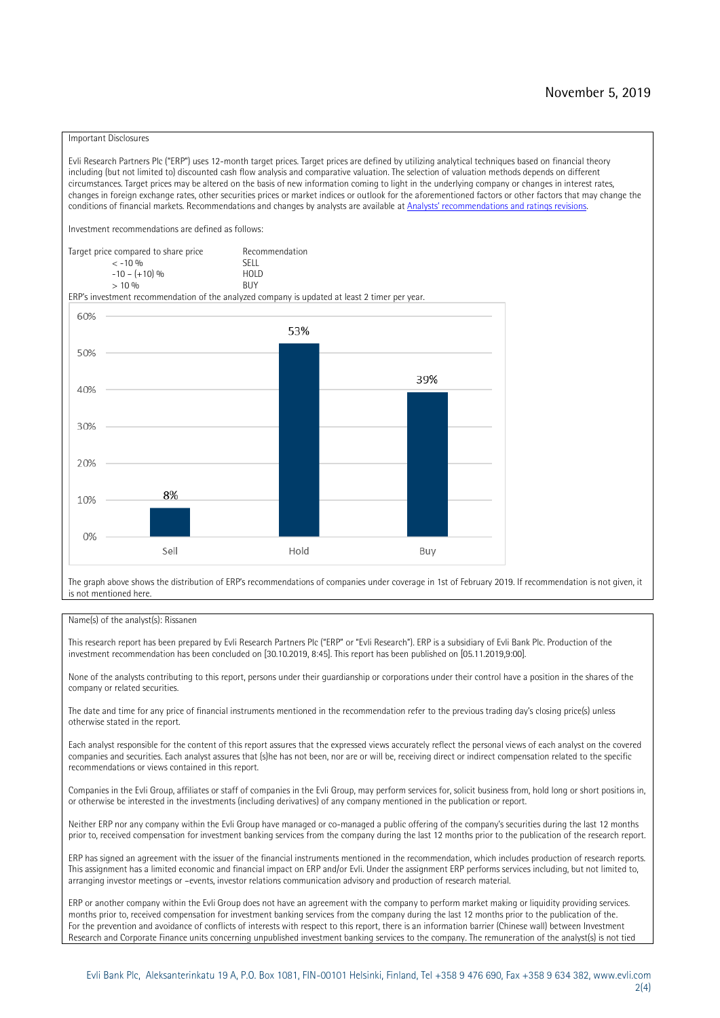### Important Disclosures

Evli Research Partners Plc ("ERP") uses 12-month target prices. Target prices are defined by utilizing analytical techniques based on financial theory including (but not limited to) discounted cash flow analysis and comparative valuation. The selection of valuation methods depends on different circumstances. Target prices may be altered on the basis of new information coming to light in the underlying company or changes in interest rates, changes in foreign exchange rates, other securities prices or market indices or outlook for the aforementioned factors or other factors that may change the conditions of financial markets. Recommendations and changes by analysts are available at [Analysts' recommendations and ratings revisions](https://research.evli.com/JasperAllModels.action?authParam=key;461&authParam=x;G3rNagWrtf7K&authType=3). Investment recommendations are defined as follows: Target price compared to share price Recommendation<br> $\epsilon$  -10 %  $\langle 5, 10, 10 \rangle$  SELL<br>  $\langle -10, 6, 10 \rangle$  SELL<br>  $\langle 10, 10, 10 \rangle$  $-10 - (+10) \%$  HOLD<br>> 10 % BUY  $> 10\%$ ERP's investment recommendation of the analyzed company is updated at least 2 timer per year. 60% 53% 50% 39% 40% 30%  $20%$ 8% 10% 0% Sell Hold Buy

The graph above shows the distribution of ERP's recommendations of companies under coverage in 1st of February 2019. If recommendation is not given, it is not mentioned here.

### Name(s) of the analyst(s): Rissanen

This research report has been prepared by Evli Research Partners Plc ("ERP" or "Evli Research"). ERP is a subsidiary of Evli Bank Plc. Production of the investment recommendation has been concluded on [30.10.2019, 8:45]. This report has been published on [05.11.2019,9:00].

None of the analysts contributing to this report, persons under their guardianship or corporations under their control have a position in the shares of the company or related securities.

The date and time for any price of financial instruments mentioned in the recommendation refer to the previous trading day's closing price(s) unless otherwise stated in the report.

Each analyst responsible for the content of this report assures that the expressed views accurately reflect the personal views of each analyst on the covered companies and securities. Each analyst assures that (s)he has not been, nor are or will be, receiving direct or indirect compensation related to the specific recommendations or views contained in this report.

Companies in the Evli Group, affiliates or staff of companies in the Evli Group, may perform services for, solicit business from, hold long or short positions in, or otherwise be interested in the investments (including derivatives) of any company mentioned in the publication or report.

Neither ERP nor any company within the Evli Group have managed or co-managed a public offering of the company's securities during the last 12 months prior to, received compensation for investment banking services from the company during the last 12 months prior to the publication of the research report.

ERP has signed an agreement with the issuer of the financial instruments mentioned in the recommendation, which includes production of research reports. This assignment has a limited economic and financial impact on ERP and/or Evli. Under the assignment ERP performs services including, but not limited to, arranging investor meetings or –events, investor relations communication advisory and production of research material.

ERP or another company within the Evli Group does not have an agreement with the company to perform market making or liquidity providing services. months prior to, received compensation for investment banking services from the company during the last 12 months prior to the publication of the. For the prevention and avoidance of conflicts of interests with respect to this report, there is an information barrier (Chinese wall) between Investment Research and Corporate Finance units concerning unpublished investment banking services to the company. The remuneration of the analyst(s) is not tied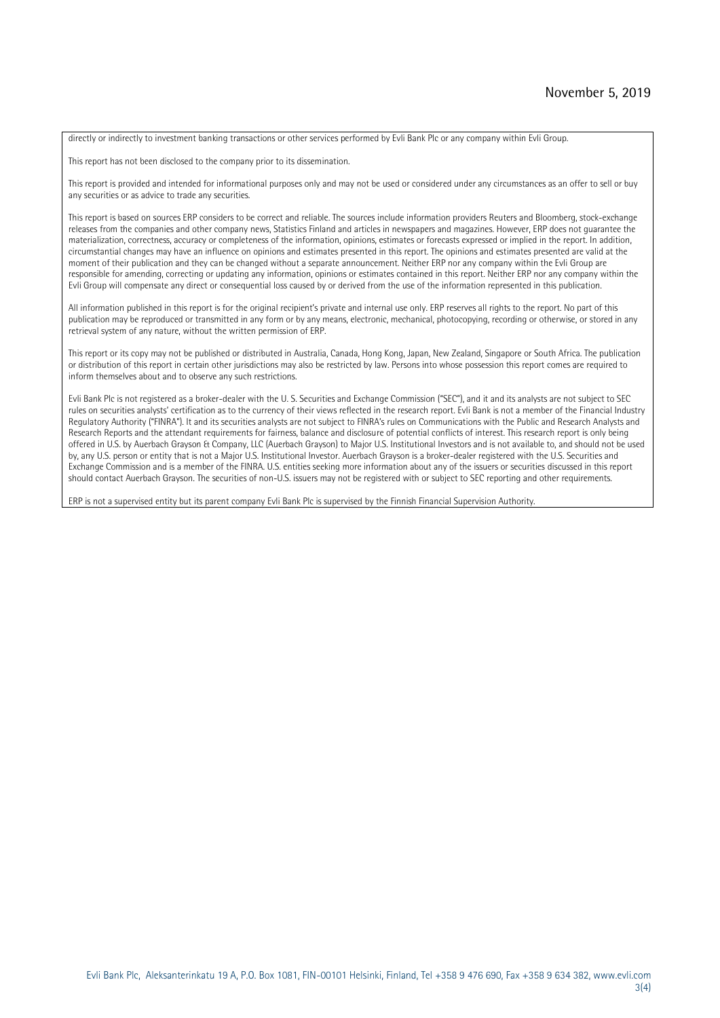directly or indirectly to investment banking transactions or other services performed by Evli Bank Plc or any company within Evli Group.

This report has not been disclosed to the company prior to its dissemination.

This report is provided and intended for informational purposes only and may not be used or considered under any circumstances as an offer to sell or buy any securities or as advice to trade any securities.

This report is based on sources ERP considers to be correct and reliable. The sources include information providers Reuters and Bloomberg, stock-exchange releases from the companies and other company news, Statistics Finland and articles in newspapers and magazines. However, ERP does not guarantee the materialization, correctness, accuracy or completeness of the information, opinions, estimates or forecasts expressed or implied in the report. In addition, circumstantial changes may have an influence on opinions and estimates presented in this report. The opinions and estimates presented are valid at the moment of their publication and they can be changed without a separate announcement. Neither ERP nor any company within the Evli Group are responsible for amending, correcting or updating any information, opinions or estimates contained in this report. Neither ERP nor any company within the Evli Group will compensate any direct or consequential loss caused by or derived from the use of the information represented in this publication.

All information published in this report is for the original recipient's private and internal use only. ERP reserves all rights to the report. No part of this publication may be reproduced or transmitted in any form or by any means, electronic, mechanical, photocopying, recording or otherwise, or stored in any retrieval system of any nature, without the written permission of ERP.

This report or its copy may not be published or distributed in Australia, Canada, Hong Kong, Japan, New Zealand, Singapore or South Africa. The publication or distribution of this report in certain other jurisdictions may also be restricted by law. Persons into whose possession this report comes are required to inform themselves about and to observe any such restrictions.

Evli Bank Plc is not registered as a broker-dealer with the U. S. Securities and Exchange Commission ("SEC"), and it and its analysts are not subject to SEC rules on securities analysts' certification as to the currency of their views reflected in the research report. Evli Bank is not a member of the Financial Industry Regulatory Authority ("FINRA"). It and its securities analysts are not subject to FINRA's rules on Communications with the Public and Research Analysts and Research Reports and the attendant requirements for fairness, balance and disclosure of potential conflicts of interest. This research report is only being offered in U.S. by Auerbach Grayson & Company, LLC (Auerbach Grayson) to Major U.S. Institutional Investors and is not available to, and should not be used by, any U.S. person or entity that is not a Major U.S. Institutional Investor. Auerbach Grayson is a broker-dealer registered with the U.S. Securities and Exchange Commission and is a member of the FINRA. U.S. entities seeking more information about any of the issuers or securities discussed in this report should contact Auerbach Grayson. The securities of non-U.S. issuers may not be registered with or subject to SEC reporting and other requirements.

ERP is not a supervised entity but its parent company Evli Bank Plc is supervised by the Finnish Financial Supervision Authority.